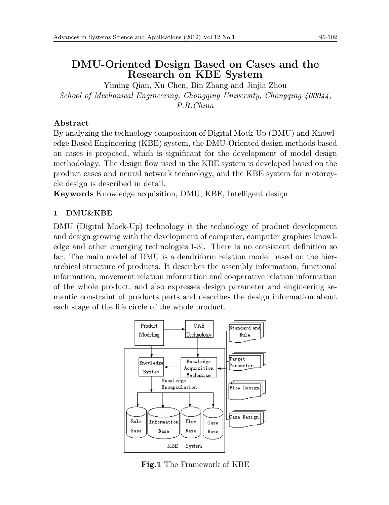# **DMU-Oriented Design Based on Cases and the Research on KBE System**

Yiming Qian, Xu Chen, Bin Zhang and Jinjia Zhou *School of Mechanical Engineering, Chongqing University, Chongqing 400044, P.R.China*

# **Abstract**

By analyzing the technology composition of Digital Mock-Up (DMU) and Knowledge Based Engineering (KBE) system, the DMU-Oriented design methods based on cases is proposed, which is significant for the development of model design methodology. The design flow used in the KBE system is developed based on the product cases and neural network technology, and the KBE system for motorcycle design is described in detail.

**Keywords** Knowledge acquisition, DMU, KBE, Intelligent design

# **1 DMU&KBE**

DMU (Digital Mock-Up) technology is the technology of product development and design growing with the development of computer, computer graphics knowledge and other emerging technologies  $[1-3]$ . There is no consistent definition so far. The main model of DMU is a dendriform relation model based on the hierarchical structure of products. It describes the assembly information, functional information, movement relation information and cooperative relation information of the whole product, and also expresses design parameter and engineering semantic constraint of products parts and describes the design information about each stage of the life circle of the whole product.



**Fig.1** The Framework of KBE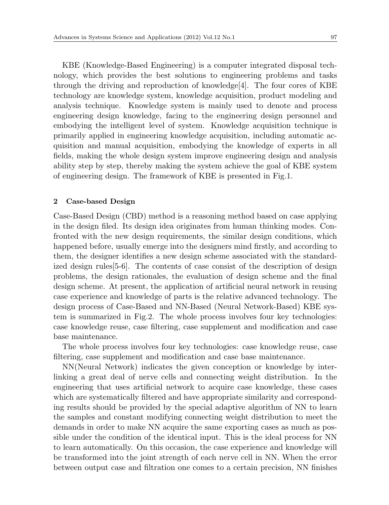KBE (Knowledge-Based Engineering) is a computer integrated disposal technology, which provides the best solutions to engineering problems and tasks through the driving and reproduction of knowledge $[4]$ . The four cores of KBE technology are knowledge system, knowledge acquisition, product modeling and analysis technique. Knowledge system is mainly used to denote and process engineering design knowledge, facing to the engineering design personnel and embodying the intelligent level of system. Knowledge acquisition technique is primarily applied in engineering knowledge acquisition, including automatic acquisition and manual acquisition, embodying the knowledge of experts in all fields, making the whole design system improve engineering design and analysis ability step by step, thereby making the system achieve the goal of KBE system of engineering design. The framework of KBE is presented in Fig.1.

## **2 Case-based Design**

Case-Based Design (CBD) method is a reasoning method based on case applying in the design filed. Its design idea originates from human thinking modes. Confronted with the new design requirements, the similar design conditions, which happened before, usually emerge into the designers mind firstly, and according to them, the designer identifies a new design scheme associated with the standardized design rules[5-6]. The contents of case consist of the description of design problems, the design rationales, the evaluation of design scheme and the final design scheme. At present, the application of artificial neural network in reusing case experience and knowledge of parts is the relative advanced technology. The design process of Case-Based and NN-Based (Neural Network-Based) KBE system is summarized in Fig.2. The whole process involves four key technologies: case knowledge reuse, case filtering, case supplement and modification and case base maintenance.

The whole process involves four key technologies: case knowledge reuse, case filtering, case supplement and modification and case base maintenance.

NN(Neural Network) indicates the given conception or knowledge by interlinking a great deal of nerve cells and connecting weight distribution. In the engineering that uses artificial network to acquire case knowledge, these cases which are systematically filtered and have appropriate similarity and corresponding results should be provided by the special adaptive algorithm of NN to learn the samples and constant modifying connecting weight distribution to meet the demands in order to make NN acquire the same exporting cases as much as possible under the condition of the identical input. This is the ideal process for NN to learn automatically. On this occasion, the case experience and knowledge will be transformed into the joint strength of each nerve cell in NN. When the error between output case and filtration one comes to a certain precision, NN finishes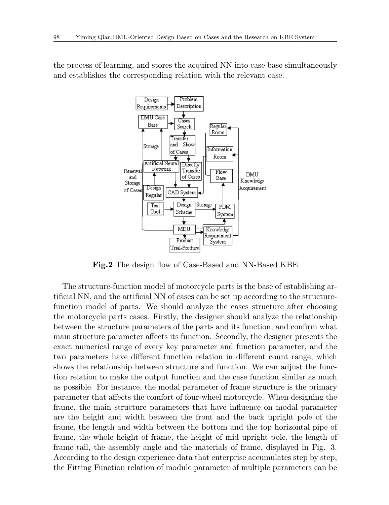the process of learning, and stores the acquired NN into case base simultaneously and establishes the corresponding relation with the relevant case.



**Fig.2** The design flow of Case-Based and NN-Based KBE

The structure-function model of motorcycle parts is the base of establishing artificial NN, and the artificial NN of cases can be set up according to the structurefunction model of parts. We should analyze the cases structure after choosing the motorcycle parts cases. Firstly, the designer should analyze the relationship between the structure parameters of the parts and its function, and confirm what main structure parameter affects its function. Secondly, the designer presents the exact numerical range of every key parameter and function parameter, and the two parameters have different function relation in different count range, which shows the relationship between structure and function. We can adjust the function relation to make the output function and the case function similar as much as possible. For instance, the modal parameter of frame structure is the primary parameter that affects the comfort of four-wheel motorcycle. When designing the frame, the main structure parameters that have influence on modal parameter are the height and width between the front and the back upright pole of the frame, the length and width between the bottom and the top horizontal pipe of frame, the whole height of frame, the height of mid upright pole, the length of frame tail, the assembly angle and the materials of frame, displayed in Fig. 3. According to the design experience data that enterprise accumulates step by step, the Fitting Function relation of module parameter of multiple parameters can be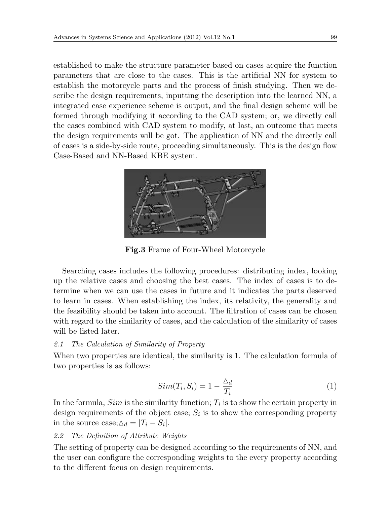established to make the structure parameter based on cases acquire the function parameters that are close to the cases. This is the artificial NN for system to establish the motorcycle parts and the process of finish studying. Then we describe the design requirements, inputting the description into the learned NN, a integrated case experience scheme is output, and the final design scheme will be formed through modifying it according to the CAD system; or, we directly call the cases combined with CAD system to modify, at last, an outcome that meets the design requirements will be got. The application of NN and the directly call of cases is a side-by-side route, proceeding simultaneously. This is the design flow Case-Based and NN-Based KBE system.



**Fig.3** Frame of Four-Wheel Motorcycle

Searching cases includes the following procedures: distributing index, looking up the relative cases and choosing the best cases. The index of cases is to determine when we can use the cases in future and it indicates the parts deserved to learn in cases. When establishing the index, its relativity, the generality and the feasibility should be taken into account. The filtration of cases can be chosen with regard to the similarity of cases, and the calculation of the similarity of cases will be listed later.

## *2.1 The Calculation of Similarity of Property*

When two properties are identical, the similarity is 1. The calculation formula of two properties is as follows:

$$
Sim(T_i, S_i) = 1 - \frac{\Delta_d}{T_i}
$$
\n<sup>(1)</sup>

In the formula,  $Sim$  is the similarity function;  $T_i$  is to show the certain property in design requirements of the object case;  $S_i$  is to show the corresponding property in the source case; $\Delta_d = |T_i - S_i|$ .

## *2.2 The Definition of Attribute Weights*

The setting of property can be designed according to the requirements of NN, and the user can configure the corresponding weights to the every property according to the different focus on design requirements.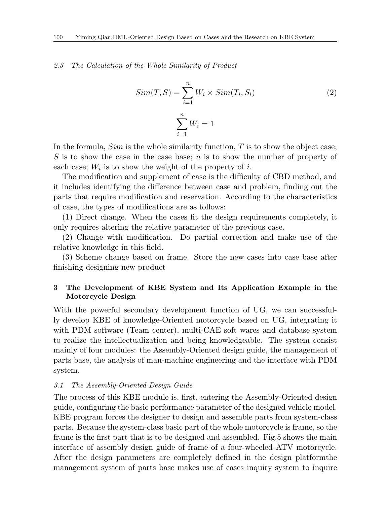#### *2.3 The Calculation of the Whole Similarity of Product*

$$
Sim(T, S) = \sum_{i=1}^{n} W_i \times Sim(T_i, S_i)
$$
\n
$$
\sum_{i=1}^{n} W_i = 1
$$
\n(2)

In the formula, *Sim* is the whole similarity function, *T* is to show the object case; *S* is to show the case in the case base; *n* is to show the number of property of each case;  $W_i$  is to show the weight of the property of  $i$ .

The modification and supplement of case is the difficulty of CBD method, and it includes identifying the difference between case and problem, finding out the parts that require modification and reservation. According to the characteristics of case, the types of modifications are as follows:

(1) Direct change. When the cases fit the design requirements completely, it only requires altering the relative parameter of the previous case.

(2) Change with modification. Do partial correction and make use of the relative knowledge in this field.

(3) Scheme change based on frame. Store the new cases into case base after finishing designing new product

## **3 The Development of KBE System and Its Application Example in the Motorcycle Design**

With the powerful secondary development function of UG, we can successfully develop KBE of knowledge-Oriented motorcycle based on UG, integrating it with PDM software (Team center), multi-CAE soft wares and database system to realize the intellectualization and being knowledgeable. The system consist mainly of four modules: the Assembly-Oriented design guide, the management of parts base, the analysis of man-machine engineering and the interface with PDM system.

## *3.1 The Assembly-Oriented Design Guide*

The process of this KBE module is, first, entering the Assembly-Oriented design guide, configuring the basic performance parameter of the designed vehicle model. KBE program forces the designer to design and assemble parts from system-class parts. Because the system-class basic part of the whole motorcycle is frame, so the frame is the first part that is to be designed and assembled. Fig.5 shows the main interface of assembly design guide of frame of a four-wheeled ATV motorcycle. After the design parameters are completely defined in the design platformthe management system of parts base makes use of cases inquiry system to inquire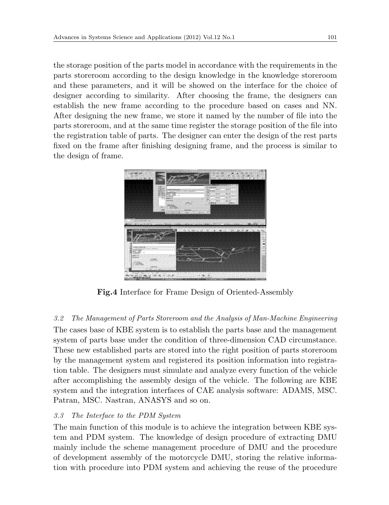the storage position of the parts model in accordance with the requirements in the parts storeroom according to the design knowledge in the knowledge storeroom and these parameters, and it will be showed on the interface for the choice of designer according to similarity. After choosing the frame, the designers can establish the new frame according to the procedure based on cases and NN. After designing the new frame, we store it named by the number of file into the parts storeroom, and at the same time register the storage position of the file into the registration table of parts. The designer can enter the design of the rest parts fixed on the frame after finishing designing frame, and the process is similar to the design of frame.



**Fig.4** Interface for Frame Design of Oriented-Assembly

## *3.2 The Management of Parts Storeroom and the Analysis of Man-Machine Engineering*

The cases base of KBE system is to establish the parts base and the management system of parts base under the condition of three-dimension CAD circumstance. These new established parts are stored into the right position of parts storeroom by the management system and registered its position information into registration table. The designers must simulate and analyze every function of the vehicle after accomplishing the assembly design of the vehicle. The following are KBE system and the integration interfaces of CAE analysis software: ADAMS, MSC. Patran, MSC. Nastran, ANASYS and so on.

## *3.3 The Interface to the PDM System*

The main function of this module is to achieve the integration between KBE system and PDM system. The knowledge of design procedure of extracting DMU mainly include the scheme management procedure of DMU and the procedure of development assembly of the motorcycle DMU, storing the relative information with procedure into PDM system and achieving the reuse of the procedure